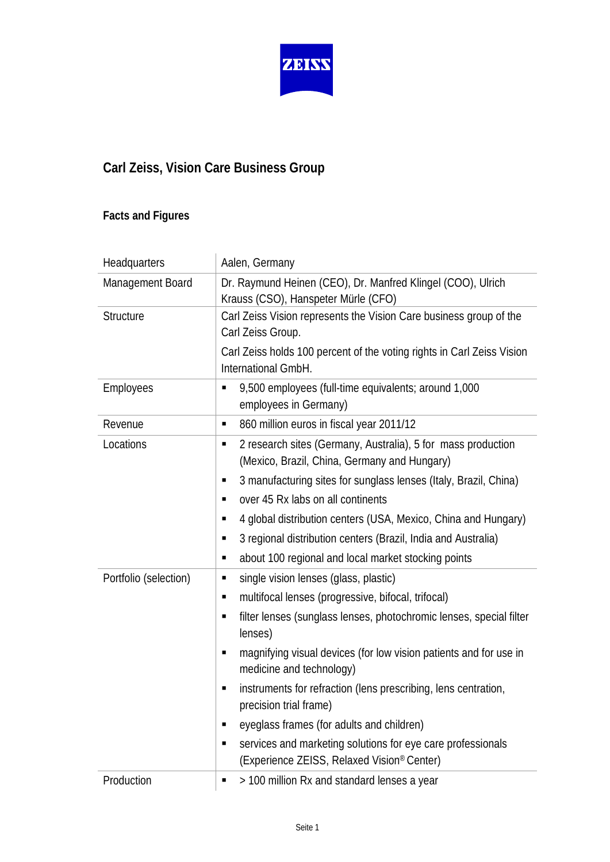

## **Carl Zeiss, Vision Care Business Group**

## **Facts and Figures**

| Headquarters          | Aalen, Germany                                                                                                    |
|-----------------------|-------------------------------------------------------------------------------------------------------------------|
| Management Board      | Dr. Raymund Heinen (CEO), Dr. Manfred Klingel (COO), Ulrich<br>Krauss (CSO), Hanspeter Mürle (CFO)                |
| <b>Structure</b>      | Carl Zeiss Vision represents the Vision Care business group of the<br>Carl Zeiss Group.                           |
|                       | Carl Zeiss holds 100 percent of the voting rights in Carl Zeiss Vision<br>International GmbH.                     |
| Employees             | 9,500 employees (full-time equivalents; around 1,000<br>п<br>employees in Germany)                                |
| Revenue               | 860 million euros in fiscal year 2011/12<br>٠                                                                     |
| Locations             | 2 research sites (Germany, Australia), 5 for mass production<br>п<br>(Mexico, Brazil, China, Germany and Hungary) |
|                       | 3 manufacturing sites for sunglass lenses (Italy, Brazil, China)<br>Е                                             |
|                       | over 45 Rx labs on all continents<br>п                                                                            |
|                       | 4 global distribution centers (USA, Mexico, China and Hungary)<br>п                                               |
|                       | 3 regional distribution centers (Brazil, India and Australia)<br>п                                                |
|                       | about 100 regional and local market stocking points<br>٠                                                          |
| Portfolio (selection) | single vision lenses (glass, plastic)<br>п                                                                        |
|                       | multifocal lenses (progressive, bifocal, trifocal)<br>п                                                           |
|                       | filter lenses (sunglass lenses, photochromic lenses, special filter<br>п<br>lenses)                               |
|                       | magnifying visual devices (for low vision patients and for use in<br>п<br>medicine and technology)                |
|                       | instruments for refraction (lens prescribing, lens centration,<br>п<br>precision trial frame)                     |
|                       | eyeglass frames (for adults and children)<br>п                                                                    |
|                       | services and marketing solutions for eye care professionals<br>п<br>(Experience ZEISS, Relaxed Vision® Center)    |
| Production            | > 100 million Rx and standard lenses a year<br>п                                                                  |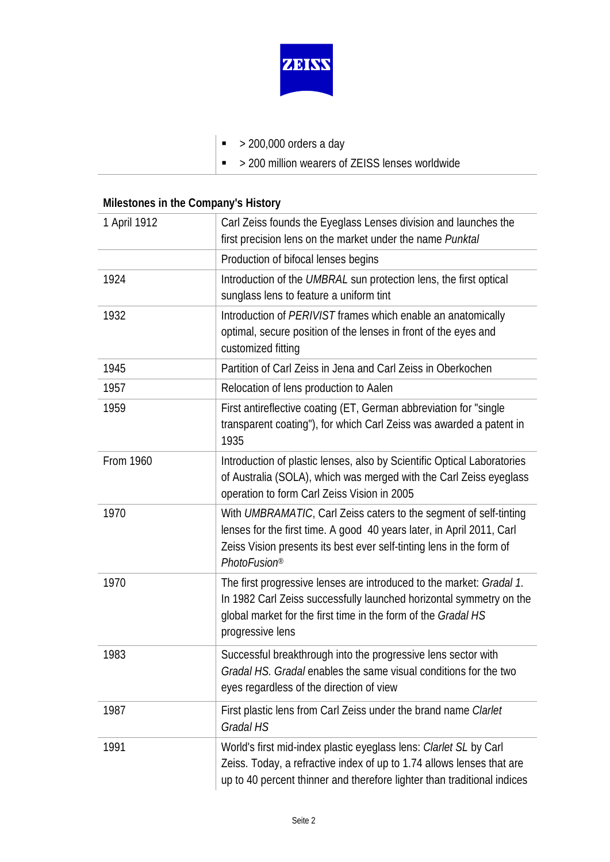

- $\bullet$  > 200,000 orders a day
- $\sim$  > 200 million wearers of ZEISS lenses worldwide

## **Milestones in the Company's History**

| 1 April 1912 | Carl Zeiss founds the Eyeglass Lenses division and launches the<br>first precision lens on the market under the name Punktal                                                                                                                   |
|--------------|------------------------------------------------------------------------------------------------------------------------------------------------------------------------------------------------------------------------------------------------|
|              | Production of bifocal lenses begins                                                                                                                                                                                                            |
| 1924         | Introduction of the UMBRAL sun protection lens, the first optical<br>sunglass lens to feature a uniform tint                                                                                                                                   |
| 1932         | Introduction of PERIVIST frames which enable an anatomically<br>optimal, secure position of the lenses in front of the eyes and<br>customized fitting                                                                                          |
| 1945         | Partition of Carl Zeiss in Jena and Carl Zeiss in Oberkochen                                                                                                                                                                                   |
| 1957         | Relocation of lens production to Aalen                                                                                                                                                                                                         |
| 1959         | First antireflective coating (ET, German abbreviation for "single"<br>transparent coating"), for which Carl Zeiss was awarded a patent in<br>1935                                                                                              |
| From 1960    | Introduction of plastic lenses, also by Scientific Optical Laboratories<br>of Australia (SOLA), which was merged with the Carl Zeiss eyeglass<br>operation to form Carl Zeiss Vision in 2005                                                   |
| 1970         | With UMBRAMATIC, Carl Zeiss caters to the segment of self-tinting<br>lenses for the first time. A good 40 years later, in April 2011, Carl<br>Zeiss Vision presents its best ever self-tinting lens in the form of<br>PhotoFusion <sup>®</sup> |
| 1970         | The first progressive lenses are introduced to the market: Gradal 1.<br>In 1982 Carl Zeiss successfully launched horizontal symmetry on the<br>global market for the first time in the form of the Gradal HS<br>progressive lens               |
| 1983         | Successful breakthrough into the progressive lens sector with<br>Gradal HS. Gradal enables the same visual conditions for the two<br>eyes regardless of the direction of view                                                                  |
| 1987         | First plastic lens from Carl Zeiss under the brand name Clarlet<br>Gradal HS                                                                                                                                                                   |
| 1991         | World's first mid-index plastic eyeglass lens: Clarlet SL by Carl<br>Zeiss. Today, a refractive index of up to 1.74 allows lenses that are<br>up to 40 percent thinner and therefore lighter than traditional indices                          |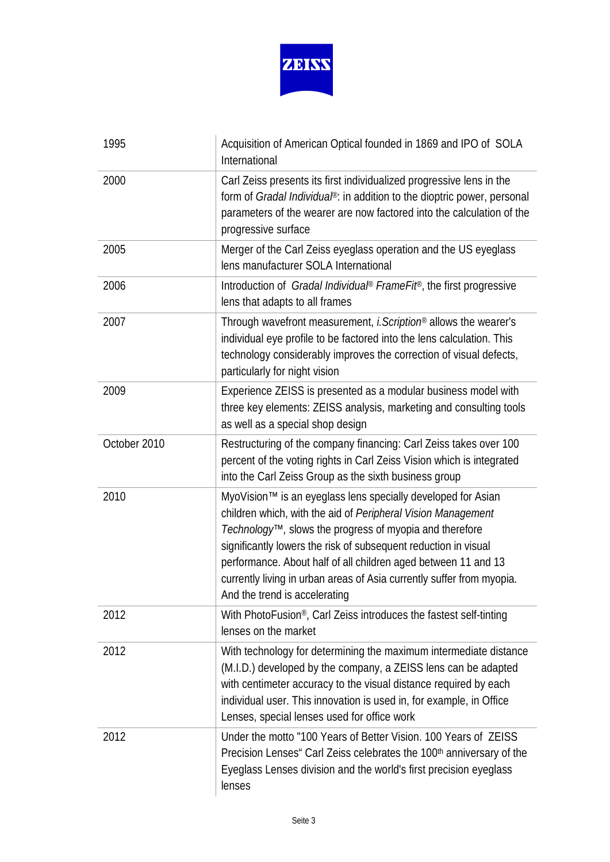

| 1995         | Acquisition of American Optical founded in 1869 and IPO of SOLA<br>International                                                                                                                                                                                                                                                                                                                                                       |
|--------------|----------------------------------------------------------------------------------------------------------------------------------------------------------------------------------------------------------------------------------------------------------------------------------------------------------------------------------------------------------------------------------------------------------------------------------------|
| 2000         | Carl Zeiss presents its first individualized progressive lens in the<br>form of Gradal Individual®: in addition to the dioptric power, personal<br>parameters of the wearer are now factored into the calculation of the<br>progressive surface                                                                                                                                                                                        |
| 2005         | Merger of the Carl Zeiss eyeglass operation and the US eyeglass<br>lens manufacturer SOLA International                                                                                                                                                                                                                                                                                                                                |
| 2006         | Introduction of Gradal Individual® Frame Fit®, the first progressive<br>lens that adapts to all frames                                                                                                                                                                                                                                                                                                                                 |
| 2007         | Through wavefront measurement, <i>i.Scription®</i> allows the wearer's<br>individual eye profile to be factored into the lens calculation. This<br>technology considerably improves the correction of visual defects,<br>particularly for night vision                                                                                                                                                                                 |
| 2009         | Experience ZEISS is presented as a modular business model with<br>three key elements: ZEISS analysis, marketing and consulting tools<br>as well as a special shop design                                                                                                                                                                                                                                                               |
| October 2010 | Restructuring of the company financing: Carl Zeiss takes over 100<br>percent of the voting rights in Carl Zeiss Vision which is integrated<br>into the Carl Zeiss Group as the sixth business group                                                                                                                                                                                                                                    |
| 2010         | MyoVision™ is an eyeglass lens specially developed for Asian<br>children which, with the aid of Peripheral Vision Management<br>Technology™, slows the progress of myopia and therefore<br>significantly lowers the risk of subsequent reduction in visual<br>performance. About half of all children aged between 11 and 13<br>currently living in urban areas of Asia currently suffer from myopia.<br>And the trend is accelerating |
| 2012         | With PhotoFusion®, Carl Zeiss introduces the fastest self-tinting<br>lenses on the market                                                                                                                                                                                                                                                                                                                                              |
| 2012         | With technology for determining the maximum intermediate distance<br>(M.I.D.) developed by the company, a ZEISS lens can be adapted<br>with centimeter accuracy to the visual distance required by each<br>individual user. This innovation is used in, for example, in Office<br>Lenses, special lenses used for office work                                                                                                          |
| 2012         | Under the motto "100 Years of Better Vision. 100 Years of ZEISS<br>Precision Lenses" Carl Zeiss celebrates the 100th anniversary of the<br>Eyeglass Lenses division and the world's first precision eyeglass<br>lenses                                                                                                                                                                                                                 |